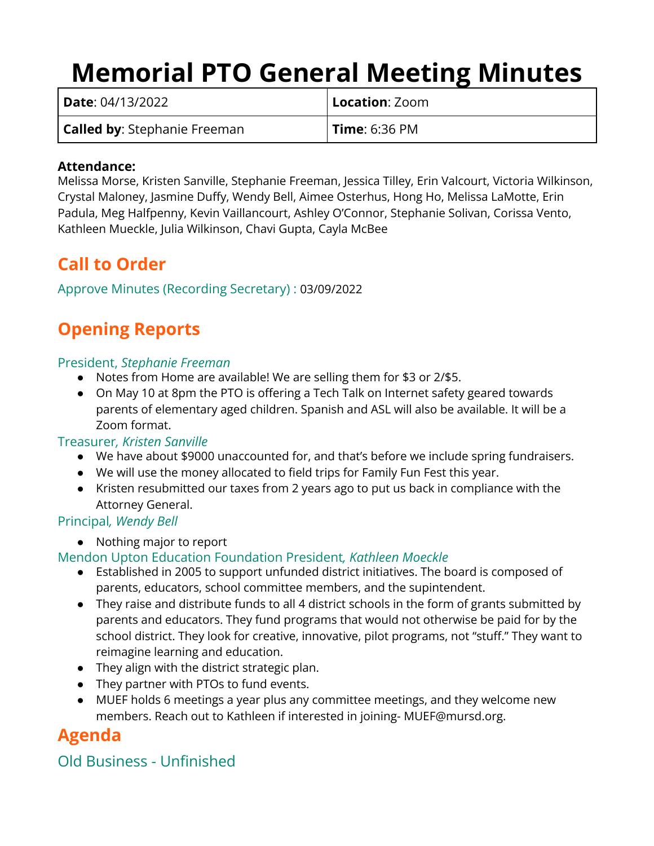# **Memorial PTO General Meeting Minutes**

| Date: 04/13/2022                    | <b>Location</b> : Zoom |
|-------------------------------------|------------------------|
| <b>Called by:</b> Stephanie Freeman | <b>Time: 6:36 PM</b>   |

#### **Attendance:**

Melissa Morse, Kristen Sanville, Stephanie Freeman, Jessica Tilley, Erin Valcourt, Victoria Wilkinson, Crystal Maloney, Jasmine Duffy, Wendy Bell, Aimee Osterhus, Hong Ho, Melissa LaMotte, Erin Padula, Meg Halfpenny, Kevin Vaillancourt, Ashley O'Connor, Stephanie Solivan, Corissa Vento, Kathleen Mueckle, Julia Wilkinson, Chavi Gupta, Cayla McBee

## **Call to Order**

#### Approve Minutes (Recording Secretary) : 03/09/2022

# **Opening Reports**

#### President, *Stephanie Freeman*

- Notes from Home are available! We are selling them for \$3 or 2/\$5.
- On May 10 at 8pm the PTO is offering a Tech Talk on Internet safety geared towards parents of elementary aged children. Spanish and ASL will also be available. It will be a Zoom format.

#### Treasurer*, Kristen Sanville*

- We have about \$9000 unaccounted for, and that's before we include spring fundraisers.
- We will use the money allocated to field trips for Family Fun Fest this year.
- Kristen resubmitted our taxes from 2 years ago to put us back in compliance with the Attorney General.

#### Principal*, Wendy Bell*

● Nothing major to report

#### Mendon Upton Education Foundation President*, Kathleen Moeckle*

- Established in 2005 to support unfunded district initiatives. The board is composed of parents, educators, school committee members, and the supintendent.
- They raise and distribute funds to all 4 district schools in the form of grants submitted by parents and educators. They fund programs that would not otherwise be paid for by the school district. They look for creative, innovative, pilot programs, not "stuff." They want to reimagine learning and education.
- They align with the district strategic plan.
- They partner with PTOs to fund events.
- MUEF holds 6 meetings a year plus any committee meetings, and they welcome new members. Reach out to Kathleen if interested in joining- MUEF@mursd.org.

## **Agenda**

## Old Business - Unfinished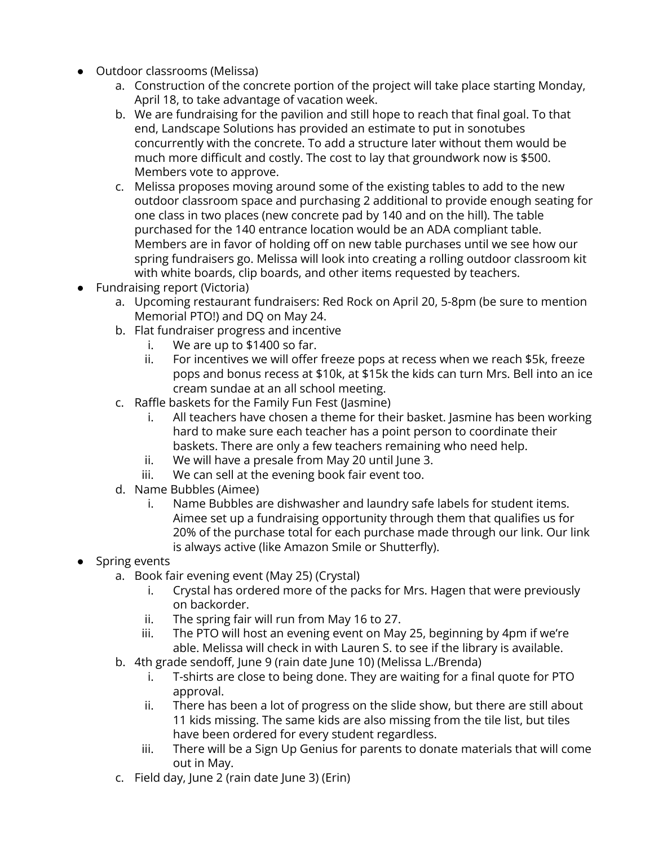- Outdoor classrooms (Melissa)
	- a. Construction of the concrete portion of the project will take place starting Monday, April 18, to take advantage of vacation week.
	- b. We are fundraising for the pavilion and still hope to reach that final goal. To that end, Landscape Solutions has provided an estimate to put in sonotubes concurrently with the concrete. To add a structure later without them would be much more difficult and costly. The cost to lay that groundwork now is \$500. Members vote to approve.
	- c. Melissa proposes moving around some of the existing tables to add to the new outdoor classroom space and purchasing 2 additional to provide enough seating for one class in two places (new concrete pad by 140 and on the hill). The table purchased for the 140 entrance location would be an ADA compliant table. Members are in favor of holding off on new table purchases until we see how our spring fundraisers go. Melissa will look into creating a rolling outdoor classroom kit with white boards, clip boards, and other items requested by teachers.
- Fundraising report (Victoria)
	- a. Upcoming restaurant fundraisers: Red Rock on April 20, 5-8pm (be sure to mention Memorial PTO!) and DQ on May 24.
	- b. Flat fundraiser progress and incentive
		- i. We are up to \$1400 so far.
		- ii. For incentives we will offer freeze pops at recess when we reach \$5k, freeze pops and bonus recess at \$10k, at \$15k the kids can turn Mrs. Bell into an ice cream sundae at an all school meeting.
	- c. Raffle baskets for the Family Fun Fest (Jasmine)
		- i. All teachers have chosen a theme for their basket. Jasmine has been working hard to make sure each teacher has a point person to coordinate their baskets. There are only a few teachers remaining who need help.
		- ii. We will have a presale from May 20 until June 3.
		- iii. We can sell at the evening book fair event too.
	- d. Name Bubbles (Aimee)
		- i. Name Bubbles are dishwasher and laundry safe labels for student items. Aimee set up a fundraising opportunity through them that qualifies us for 20% of the purchase total for each purchase made through our link. Our link is always active (like Amazon Smile or Shutterfly).
- Spring events
	- a. Book fair evening event (May 25) (Crystal)
		- i. Crystal has ordered more of the packs for Mrs. Hagen that were previously on backorder.
		- ii. The spring fair will run from May 16 to 27.
		- iii. The PTO will host an evening event on May 25, beginning by 4pm if we're able. Melissa will check in with Lauren S. to see if the library is available.
	- b. 4th grade sendoff, June 9 (rain date June 10) (Melissa L./Brenda)
		- i. T-shirts are close to being done. They are waiting for a final quote for PTO approval.
		- ii. There has been a lot of progress on the slide show, but there are still about 11 kids missing. The same kids are also missing from the tile list, but tiles have been ordered for every student regardless.
		- iii. There will be a Sign Up Genius for parents to donate materials that will come out in May.
	- c. Field day, June 2 (rain date June 3) (Erin)